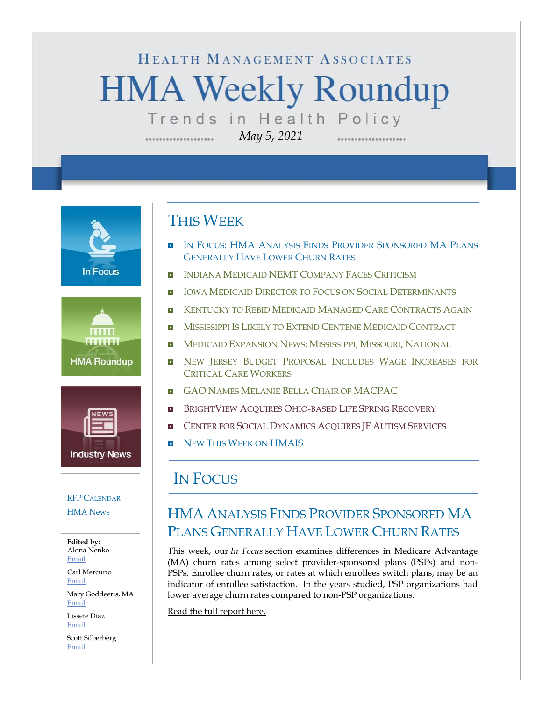# HEALTH MANAGEMENT ASSOCIATES **HMA Weekly Roundup** Trends in Health Policy

*May 5, 2021*

**In Focus** 





#### RFP C[ALENDAR](#page-6-0)

[HMA News](#page-7-0)

**Edited by:** Alona Nenko [Email](mailto:anenko@healthmanagement.com)

Carl Mercurio [Email](mailto:cmercurio@healthmanagement.com)

Mary Goddeeris, MA [Email](mailto:mgoddeeris@healthmanagement.com)

Lissete Diaz [Email](mailto:ldiaz@healthmanagement.com)

Scott Silberberg [Email](mailto:ssilberberg@healthmanagement.com)

### THIS WEEK

- **IN FOCUS: HMA ANALYSIS FINDS PROVIDER SPONSORED MA PLANS** GENERALLY HAVE LOWER CHURN RATES
- **I** INDIANA MEDICAID NEMT C[OMPANY](#page-1-0) FACES CRITICISM
- **IOWA MEDICAID DIRECTOR TO FOCUS ON SOCIAL D[ETERMINANTS](#page-1-1)**
- **E** K[ENTUCKY TO](#page-2-0) REBID MEDICAID MANAGED CARE CONTRACTS AGAIN
- **MISSISSIPPI IS LIKELY TO EXTEND CENTENE MEDICAID C[ONTRACT](#page-2-1)**
- **INEDICAID E[XPANSION](#page-2-1) NEWS: MISSISSIPPI, MISSOURI, NATIONAL**
- **n** NEW JERSEY BUDGET PROPOSAL INCLUDES WAGE INCREASES FOR C[RITICAL](#page-2-2) CARE WORKERS
- **GAO NAMES MELANIE BELLA CHAIR OF [MACPAC](#page-3-0)**
- **BRIGHTVIEW ACQUIRES OHIO-BASED LIFE SPRING R[ECOVERY](#page-5-0)**
- **E** C[ENTER FOR](#page-5-0) SOCIAL DYNAMICS ACQUIRES JF AUTISM SERVICES
- NEW THIS WEEK ON [HMAIS](#page-7-0)

### IN FOCUS

## HMA ANALYSIS FINDS PROVIDER SPONSORED MA PLANS GENERALLY HAVE LOWER CHURN RATES

This week, our *In Focus* section examines differences in Medicare Advantage (MA) churn rates among select provider-sponsored plans (PSPs) and non-PSPs. Enrollee churn rates, or rates at which enrollees switch plans, may be an indicator of enrollee satisfaction. In the years studied, PSP organizations had lower average churn rates compared to non-PSP organizations.

[Read the full report here.](https://www.healthmanagement.com/wp-content/uploads/PSP-Churn-2021-In-Focus-5-5-21_HMA.pdf)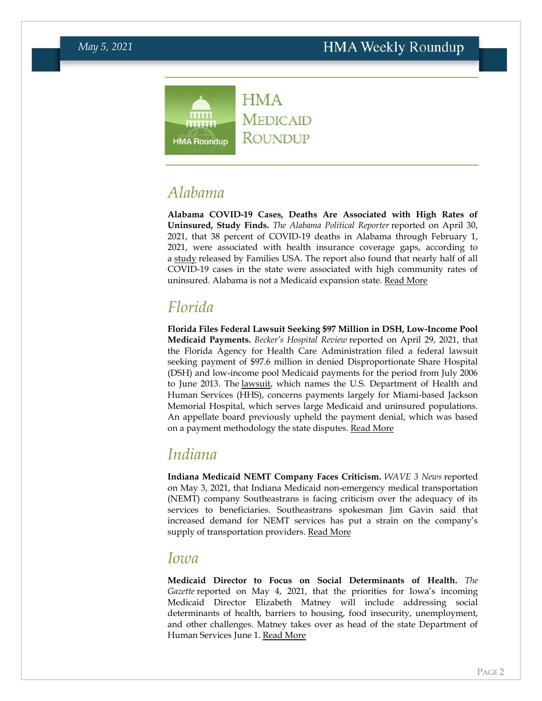

## *Alabama*

**Alabama COVID-19 Cases, Deaths Are Associated with High Rates of Uninsured, Study Finds.** *The Alabama Political Reporter* reported on April 30, 2021, that 38 percent of COVID-19 deaths in Alabama through February 1, 2021, were associated with health insurance coverage gaps, according to a [study](https://familiesusa.org/resources/the-catastrophic-cost-of-uninsurance-covid-19-cases-and-deaths-closely-tied-to-americas-health-coverage-gaps/) released by Families USA. The report also found that nearly half of all COVID-19 cases in the state were associated with high community rates of uninsured. Alabama is not a Medicaid expansion state. [Read More](https://www.alreporter.com/2021/04/30/report-38-of-alabama-covid-deaths-tied-to-insurance-coverage-gaps/)

## *Florida*

**Florida Files Federal Lawsuit Seeking \$97 Million in DSH, Low-Income Pool Medicaid Payments.** *Becker's Hospital Review* reported on April 29, 2021, that the Florida Agency for Health Care Administration filed a federal lawsuit seeking payment of \$97.6 million in denied Disproportionate Share Hospital (DSH) and low-income pool Medicaid payments for the period from July 2006 to June 2013. The [lawsuit,](https://www.beckershospitalreview.com/pdfs/FAHCA_HHS.pdf) which names the U.S. Department of Health and Human Services (HHS), concerns payments largely for Miami-based Jackson Memorial Hospital, which serves large Medicaid and uninsured populations. An appellate board previously upheld the payment denial, which was based on a payment methodology the state disputes. [Read More](https://www.beckershospitalreview.com/legal-regulatory-issues/florida-sues-hhs-over-97m-in-denied-medicaid-payments.html)

## <span id="page-1-0"></span>*Indiana*

**Indiana Medicaid NEMT Company Faces Criticism.** *WAVE 3 News* reported on May 3, 2021, that Indiana Medicaid non-emergency medical transportation (NEMT) company Southeastrans is facing criticism over the adequacy of its services to beneficiaries. Southeastrans spokesman Jim Gavin said that increased demand for NEMT services has put a strain on the company's supply of transportation providers. Read [More](https://www.wave3.com/2021/05/03/medicaid-transportation-program-failing-by-thousands-indiana/)

#### <span id="page-1-1"></span>*Iowa*

**Medicaid Director to Focus on Social Determinants of Health.** *The Gazette* reported on May 4, 2021, that the priorities for Iowa's incoming Medicaid Director Elizabeth Matney will include addressing social determinants of health, barriers to housing, food insecurity, unemployment, and other challenges. Matney takes over as head of the state Department of Human Services June 1. [Read More](https://www.thegazette.com/health-care-medicine/iowas-new-medicaid-director-to-prioritize-health-outcomes-healths-social-determinants/)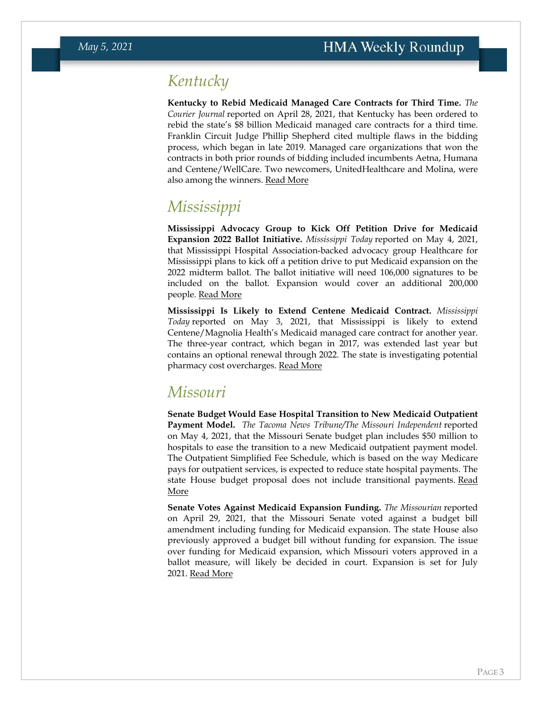## <span id="page-2-0"></span>*Kentucky*

**Kentucky to Rebid Medicaid Managed Care Contracts for Third Time.** *The Courier Journal* reported on April 28, 2021, that Kentucky has been ordered to rebid the state's \$8 billion Medicaid managed care contracts for a third time. Franklin Circuit Judge Phillip Shepherd cited multiple flaws in the bidding process, which began in late 2019. Managed care organizations that won the contracts in both prior rounds of bidding included incumbents Aetna, Humana and Centene/WellCare. Two newcomers, UnitedHealthcare and Molina, were also among the winners. [Read More](https://www.courier-journal.com/story/news/politics/2021/04/28/judge-tosses-8-billion-state-medicaid-contracts-orders-them-rebid-for-third-time/4878841001/)

## <span id="page-2-1"></span>*Mississippi*

**Mississippi Advocacy Group to Kick Off Petition Drive for Medicaid Expansion 2022 Ballot Initiative.** *Mississippi Today* reported on May 4, 2021, that Mississippi Hospital Association-backed advocacy group Healthcare for Mississippi plans to kick off a petition drive to put Medicaid expansion on the 2022 midterm ballot. The ballot initiative will need 106,000 signatures to be included on the ballot. Expansion would cover an additional 200,000 people. [Read More](https://mississippitoday.org/2021/05/04/hospitals-will-soon-kick-off-medicaid-expansion-ballot-drive/)

**Mississippi Is Likely to Extend Centene Medicaid Contract.** *Mississippi Today* reported on May 3, 2021, that Mississippi is likely to extend Centene/Magnolia Health's Medicaid managed care contract for another year. The three-year contract, which began in 2017, was extended last year but contains an optional renewal through 2022. The state is investigating potential pharmacy cost overcharges. [Read More](https://mississippitoday.org/2021/05/03/medicaid-agency-poised-to-extend-contract-with-centene-embattled-insurer-and-big-campaign-donor/)

## *Missouri*

**Senate Budget Would Ease Hospital Transition to New Medicaid Outpatient Payment Model.** *The Tacoma News Tribune/The Missouri Independent* reported on May 4, 2021, that the Missouri Senate budget plan includes \$50 million to hospitals to ease the transition to a new Medicaid outpatient payment model. The Outpatient Simplified Fee Schedule, which is based on the way Medicare pays for outpatient services, is expected to reduce state hospital payments. The state House budget proposal does not include transitional payments. Read [More](https://www.newstribune.com/news/news/story/2021/may/04/hospitals-lobby-for-medicaid-payment-reform/869774/)

<span id="page-2-2"></span>**Senate Votes Against Medicaid Expansion Funding.** *The Missourian* reported on April 29, 2021, that the Missouri Senate voted against a budget bill amendment including funding for Medicaid expansion. The state House also previously approved a budget bill without funding for expansion. The issue over funding for Medicaid expansion, which Missouri voters approved in a ballot measure, will likely be decided in court. Expansion is set for July 2021. [Read More](https://www.columbiamissourian.com/news/state_news/senate-rejects-medicaid-expansion-setting-up-likely-court-challenge/article_1ca26ae6-a89b-11eb-8567-1b4b5e6fbdc1.html)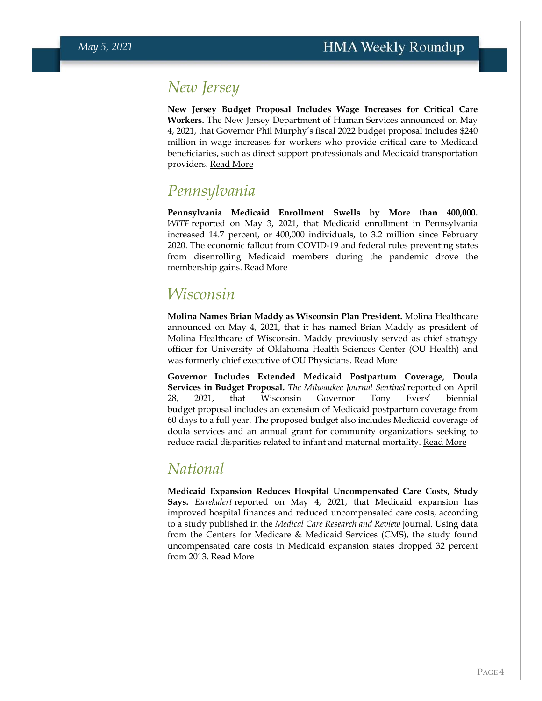## *New Jersey*

**New Jersey Budget Proposal Includes Wage Increases for Critical Care Workers.** The New Jersey Department of Human Services announced on May 4, 2021, that Governor Phil Murphy's fiscal 2022 budget proposal includes \$240 million in wage increases for workers who provide critical care to Medicaid beneficiaries, such as direct support professionals and Medicaid transportation providers. [Read More](https://www.state.nj.us/humanservices/news/pressreleases/2021/approved/20210504.html)

## *Pennsylvania*

**Pennsylvania Medicaid Enrollment Swells by More than 400,000.**  *WITF* reported on May 3, 2021, that Medicaid enrollment in Pennsylvania increased 14.7 percent, or 400,000 individuals, to 3.2 million since February 2020. The economic fallout from COVID-19 and federal rules preventing states from disenrolling Medicaid members during the pandemic drove the membership gains. [Read More](https://www.witf.org/2021/05/03/why-pa-s-medicaid-program-has-seen-consistent-increase-in-enrollment-numbers/)

## *Wisconsin*

**Molina Names Brian Maddy as Wisconsin Plan President.** Molina Healthcare announced on May 4, 2021, that it has named Brian Maddy as president of Molina Healthcare of Wisconsin. Maddy previously served as chief strategy officer for University of Oklahoma Health Sciences Center (OU Health) and was formerly chief executive of OU Physicians. [Read More](https://www.businesswire.com/news/home/20210504005358/en/Brian-Maddy-Appointed-Plan-President-of-Molina-Healthcare-of-Wisconsin/)

**Governor Includes Extended Medicaid Postpartum Coverage, Doula Services in Budget Proposal.** *The Milwaukee Journal Sentinel* reported on April 28, 2021, that Wisconsin Governor Tony Evers' biennial budget [proposal](https://doa.wi.gov/budget/SBO/2021-23%20435%20DHS%20Executive%20Budget.pdf) includes an extension of Medicaid postpartum coverage from 60 days to a full year. The proposed budget also includes Medicaid coverage of doula services and an annual grant for community organizations seeking to reduce racial disparities related to infant and maternal mortality. [Read More](https://www.jsonline.com/story/news/solutions/2021/04/28/medicaid-would-cover-doulas-postpartum-period-under-evers-proposal/4853317001/)

## <span id="page-3-0"></span>*National*

**Medicaid Expansion Reduces Hospital Uncompensated Care Costs, Study Says.** *Eurekalert* reported on May 4, 2021, that Medicaid expansion has improved hospital finances and reduced uncompensated care costs, according to a study published in the *Medical Care Research and Review* journal. Using data from the Centers for Medicare & Medicaid Services (CMS), the study found uncompensated care costs in Medicaid expansion states dropped 32 percent from 2013. [Read More](https://www.eurekalert.org/pub_releases/2021-05/uoca-rrm050421.php)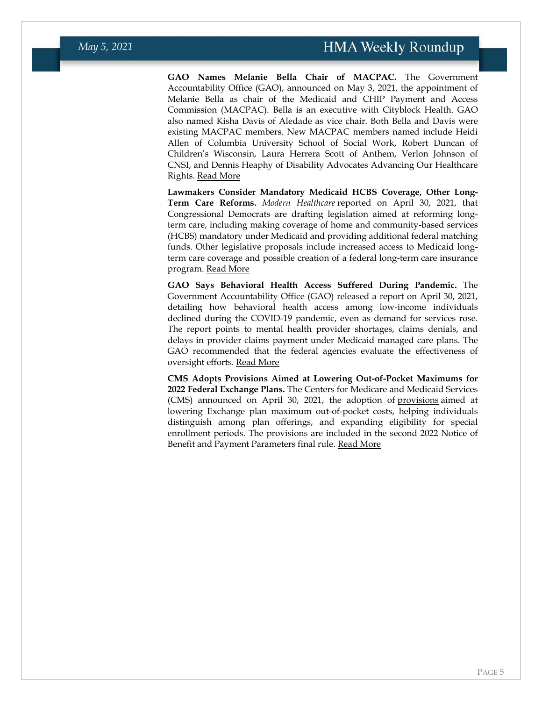**GAO Names Melanie Bella Chair of MACPAC.** The Government Accountability Office (GAO), announced on May 3, 2021, the appointment of Melanie Bella as chair of the Medicaid and CHIP Payment and Access Commission (MACPAC). Bella is an executive with Cityblock Health. GAO also named Kisha Davis of Aledade as vice chair. Both Bella and Davis were existing MACPAC members. New MACPAC members named include Heidi Allen of Columbia University School of Social Work, Robert Duncan of Children's Wisconsin, Laura Herrera Scott of Anthem, Verlon Johnson of CNSI, and Dennis Heaphy of Disability Advocates Advancing Our Healthcare Rights. [Read More](https://www.gao.gov/press-release/gao-makes-macpac-appointments%2C-designates-chair-and-vice-chair-0)

**Lawmakers Consider Mandatory Medicaid HCBS Coverage, Other Long-Term Care Reforms.** *Modern Healthcare* reported on April 30, 2021, that Congressional Democrats are drafting legislation aimed at reforming longterm care, including making coverage of home and community-based services (HCBS) mandatory under Medicaid and providing additional federal matching funds. Other legislative proposals include increased access to Medicaid longterm care coverage and possible creation of a federal long-term care insurance program. [Read More](https://www.modernhealthcare.com/post-acute-care/congress-mulls-long-term-care-reform)

**GAO Says Behavioral Health Access Suffered During Pandemic.** The Government Accountability Office (GAO) released a report on April 30, 2021, detailing how behavioral health access among low-income individuals declined during the COVID-19 pandemic, even as demand for services rose. The report points to mental health provider shortages, claims denials, and delays in provider claims payment under Medicaid managed care plans. The GAO recommended that the federal agencies evaluate the effectiveness of oversight efforts. [Read More](https://www.gao.gov/products/gao-21-437r)

**CMS Adopts Provisions Aimed at Lowering Out-of-Pocket Maximums for 2022 Federal Exchange Plans.** The Centers for Medicare and Medicaid Services (CMS) announced on April 30, 2021, the adoption of [provisions](https://www.federalregister.gov/public-inspection/2021-09102/patient-protection-and-affordable-care-act-notice-of-benefit-and-payment-parameters-for-2022-and) aimed at lowering Exchange plan maximum out-of-pocket costs, helping individuals distinguish among plan offerings, and expanding eligibility for special enrollment periods. The provisions are included in the second 2022 Notice of Benefit and Payment Parameters final rule. [Read More](https://www.cms.gov/newsroom/press-releases/cms-adopt-rules-lower-health-care-costs-2022-federal-health-insurance-marketplace-plans)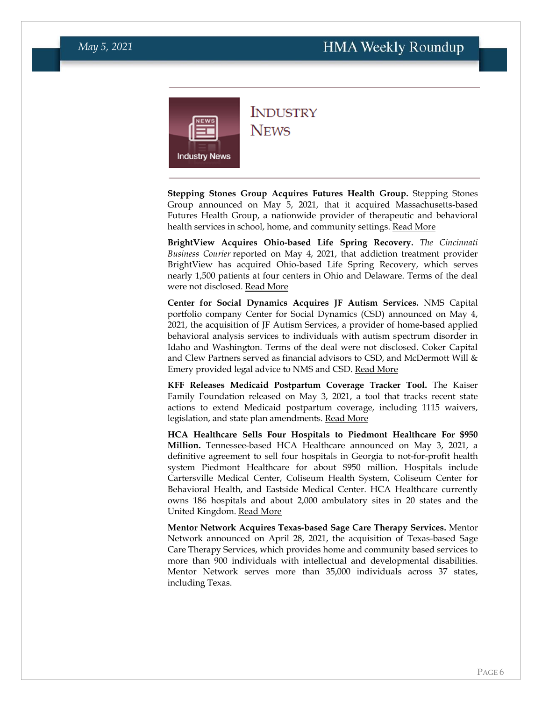<span id="page-5-0"></span>

### **INDUSTRY NEWS**

**Stepping Stones Group Acquires Futures Health Group.** Stepping Stones Group announced on May 5, 2021, that it acquired Massachusetts-based Futures Health Group, a nationwide provider of therapeutic and behavioral health services in school, home, and community settings. [Read More](https://www.prnewswire.com/news-releases/the-stepping-stones-group-acquires-the-futures-health-group-llc-301283925.html)

**BrightView Acquires Ohio-based Life Spring Recovery.** *The Cincinnati Business Courier* reported on May 4, 2021, that addiction treatment provider BrightView has acquired Ohio-based Life Spring Recovery, which serves nearly 1,500 patients at four centers in Ohio and Delaware. Terms of the deal were not disclosed. [Read More](https://www.bizjournals.com/cincinnati/news/2021/05/04/brightview-acquires-columbus-provider.html)

**Center for Social Dynamics Acquires JF Autism Services.** NMS Capital portfolio company Center for Social Dynamics (CSD) announced on May 4, 2021, the acquisition of JF Autism Services, a provider of home-based applied behavioral analysis services to individuals with autism spectrum disorder in Idaho and Washington. Terms of the deal were not disclosed. Coker Capital and Clew Partners served as financial advisors to CSD, and McDermott Will & Emery provided legal advice to NMS and CSD. [Read More](https://nms-capital.com/news/center-for-social-dynamics-announces-acquisition-of-jf-autism-services-expanding-presence-to-washington-and-idaho/)

**KFF Releases Medicaid Postpartum Coverage Tracker Tool.** The Kaiser Family Foundation released on May 3, 2021, a tool that tracks recent state actions to extend Medicaid postpartum coverage, including 1115 waivers, legislation, and state plan amendments. [Read More](https://www.kff.org/medicaid/issue-brief/medicaid-postpartum-coverage-extension-tracker/)

**HCA Healthcare Sells Four Hospitals to Piedmont Healthcare For \$950 Million.** Tennessee-based HCA Healthcare announced on May 3, 2021, a definitive agreement to sell four hospitals in Georgia to not-for-profit health system Piedmont Healthcare for about \$950 million. Hospitals include Cartersville Medical Center, Coliseum Health System, Coliseum Center for Behavioral Health, and Eastside Medical Center. HCA Healthcare currently owns 186 hospitals and about 2,000 ambulatory sites in 20 states and the United Kingdom. [Read More](https://investor.hcahealthcare.com/news/news-details/2021/HCA-Healthcare-to-Sell-Four-of-Its-Hospitals-in-Georgia-to-Piedmont-Healthcare/default.aspx)

**Mentor Network Acquires Texas-based Sage Care Therapy Services.** Mentor Network announced on April 28, 2021, the acquisition of Texas-based Sage Care Therapy Services, which provides home and community based services to more than 900 individuals with intellectual and developmental disabilities. Mentor Network serves more than 35,000 individuals across 37 states, including Texas.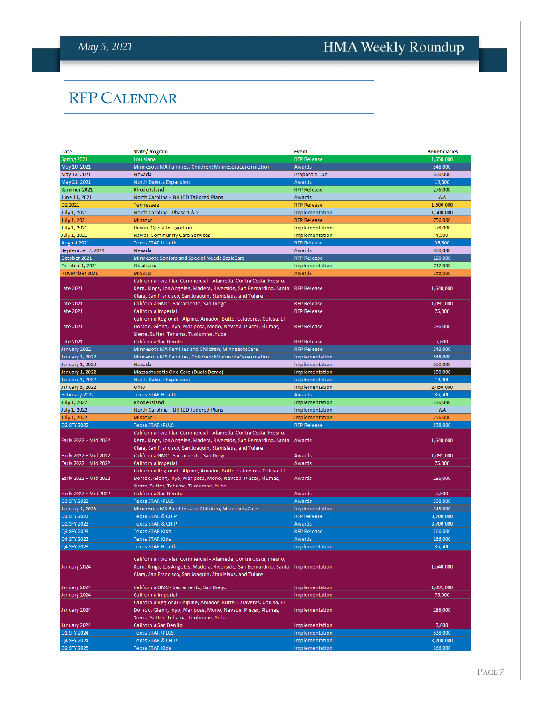# <span id="page-6-0"></span>HMA Weekly Roundup

## RFP CALENDAR

| Date                   | <b>State/Program</b>                                                                                                                                                                               | <b>Event</b>         | <b>Beneficiaries</b> |
|------------------------|----------------------------------------------------------------------------------------------------------------------------------------------------------------------------------------------------|----------------------|----------------------|
| Spring 2021            | Louisiana                                                                                                                                                                                          | <b>RFP Release</b>   | 1,550,000            |
| May 10, 2021           | Minnesota MA Families, Children; MinnesotaCare (metro)                                                                                                                                             | Awards               | 548,000              |
| May 13, 2021           | Nevada                                                                                                                                                                                             | <b>Proposals Due</b> | 600,000              |
| May 21, 2021           | North Dakota Expansion                                                                                                                                                                             | <b>Awards</b>        | 19,800               |
| Summer 2021            | Rhode Island                                                                                                                                                                                       | <b>RFP Release</b>   | 276,000              |
| June 11, 2021          | North Carolina - BH IDD Tailored Plans                                                                                                                                                             | Awards               | <b>NA</b>            |
| Q2 2021                | <b>Tennessee</b>                                                                                                                                                                                   | <b>RFP Release</b>   | 1,500,000            |
| July 1, 2021           | North Carolina - Phase 1 & 2                                                                                                                                                                       | Implementation       | 1,500,000            |
| <b>July 1, 2021</b>    | Missouri                                                                                                                                                                                           | <b>RFP Release</b>   | 756,000              |
| <b>July 1, 2021</b>    | Hawaii Quest Integration                                                                                                                                                                           | Implementation       | 378,000              |
| July 1, 2021           | <b>Hawaii Community Care Services</b>                                                                                                                                                              | Implementation       | 4,500                |
| August 2021            | <b>Texas STAR Health</b>                                                                                                                                                                           | <b>RFP Release</b>   | 36,500               |
|                        | Nevada                                                                                                                                                                                             | <b>Awards</b>        |                      |
| September 7, 2021      |                                                                                                                                                                                                    |                      | 600,000              |
| October 2021           | Minnesota Seniors and Special Needs BasicCare                                                                                                                                                      | <b>RFP Release</b>   | 120,000              |
| October 1, 2021        | Oklahoma                                                                                                                                                                                           | Implementation       | 742,000              |
| November 2021          | <b>Missouri</b>                                                                                                                                                                                    | Awards               | 756,000              |
| <b>Late 2021</b>       | California Two Plan Commercial - Alameda, Contra Costa, Fresno,<br>Kern, Kings, Los Angeles, Madera, Riverside, San Bernardino, Santa<br>Clara, San Francisco, San Joaquin, Stanislaus, and Tulare | <b>RFP Release</b>   | 1,640,000            |
| <b>Late 2021</b>       | California GMC - Sacramento, San Diego                                                                                                                                                             | <b>RFP Release</b>   | 1,091,000            |
| <b>Late 2021</b>       | California Imperial                                                                                                                                                                                | <b>RFP Release</b>   | 75,000               |
|                        | California Regional - Alpine, Amador, Butte, Calaveras, Colusa, El                                                                                                                                 |                      |                      |
| Late 2021              | Dorado, Glenn, Inyo, Mariposa, Mono, Nevada, Placer, Plumas,<br>Sierra, Sutter, Tehama, Tuolumne, Yuba                                                                                             | <b>RFP Release</b>   | 286,000              |
| <b>Late 2021</b>       | California San Benito                                                                                                                                                                              | <b>RFP Release</b>   | 7,600                |
| January 2022           | Minnesota MA Families and Children, MinnesotaCare                                                                                                                                                  | <b>RFP Release</b>   | 543,000              |
| January 1, 2022        | Minnesota MA Families, Children; MinnesotaCare (metro)                                                                                                                                             | Implementation       | 548,000              |
| January 1, 2022        | Nevada                                                                                                                                                                                             | Implementation       | 600,000              |
| January 1, 2022        | Massachusetts One Care (Duals Demo)                                                                                                                                                                | Implementation       | 150,000              |
| <b>January 1, 2022</b> | North Dakota Expansion                                                                                                                                                                             | Implementation       | 19,800               |
| <b>January 5, 2022</b> | Ohio                                                                                                                                                                                               | Implementation       | 2,450,000            |
| February 2022          | <b>Texas STAR Health</b>                                                                                                                                                                           | <b>Awards</b>        | 36,500               |
| July 1, 2022           | Rhode Island                                                                                                                                                                                       | Implementation       | 276,000              |
| July 1, 2022           | North Carolina - BH IDD Tailored Plans                                                                                                                                                             | Implementation       | <b>NA</b>            |
| July 1, 2022           | <b>Missouri</b>                                                                                                                                                                                    | Implementation       | 756,000              |
| Q2 SFY 2022            | <b>Texas STAR+PLUS</b>                                                                                                                                                                             | <b>RFP Release</b>   | 538,000              |
|                        | California Two Plan Commercial - Alameda, Contra Costa, Fresno,                                                                                                                                    |                      |                      |
| Early 2022 - Mid 2022  | Kern, Kings, Los Angeles, Madera, Riverside, San Bernardino, Santa Awards<br>Clara, San Francisco, San Joaquin, Stanislaus, and Tulare                                                             |                      | 1,640,000            |
| Early 2022 - Mid 2022  | California GMC - Sacramento, San Diego                                                                                                                                                             | Awards               | 1,091,000            |
| Early 2022 - Mid 2022  | California Imperial                                                                                                                                                                                | Awards               | 75,000               |
|                        | California Regional - Alpine, Amador, Butte, Calaveras, Colusa, El                                                                                                                                 |                      |                      |
| Early 2022 - Mid 2022  | Dorado, Glenn, Inyo, Mariposa, Mono, Nevada, Placer, Plumas,<br>Sierra, Sutter, Tehama, Tuolumne, Yuba                                                                                             | Awards               | 286,000              |
| Early 2022 - Mid 2022  | California San Benito                                                                                                                                                                              | Awards               | 7,600                |
| Q3 SFY 2022            | <b>Texas STAR+PLUS</b>                                                                                                                                                                             | Awards               | 538,000              |
| January 1, 2023        | Minnesota MA Families and Children, MinnesotaCare                                                                                                                                                  | Implementation       | 543,000              |
| Q1 SFY 2023            | <b>Texas STAR &amp; CHIP</b>                                                                                                                                                                       | <b>RFP Release</b>   | 3,700,000            |
| Q2 SFY 2023            | <b>Texas STAR &amp; CHIP</b>                                                                                                                                                                       | <b>Awards</b>        | 3,700,000            |
| Q3 SFY 2023            | <b>Texas STAR Kids</b>                                                                                                                                                                             | <b>RFP Release</b>   | 166,000              |
| Q4 SFY 2023            | <b>Texas STAR Kids</b>                                                                                                                                                                             | Awards               | 166,000              |
| Q4 SFY 2023            | <b>Texas STAR Health</b>                                                                                                                                                                           | Implementation       | 36,500               |
|                        |                                                                                                                                                                                                    |                      |                      |
| January 2024           | California Two Plan Commercial - Alameda, Contra Costa, Fresno,<br>Kern, Kings, Los Angeles, Madera, Riverside, San Bernardino, Santa<br>Clara, San Francisco, San Joaquin, Stanislaus, and Tulare | Implementation       | 1,640,000            |
| January 2024           | California GMC - Sacramento, San Diego                                                                                                                                                             | Implementation       | 1,091,000            |
| January 2024           | California Imperial                                                                                                                                                                                | Implementation       | 75,000               |
|                        | California Regional - Alpine, Amador, Butte, Calaveras, Colusa, El                                                                                                                                 |                      |                      |
| January 2024           | Dorado, Glenn, Inyo, Mariposa, Mono, Nevada, Placer, Plumas,<br>Sierra, Sutter, Tehama, Tuolumne, Yuba                                                                                             | Implementation       | 286,000              |
| January 2024           | California San Benito                                                                                                                                                                              | Implementation       | 7,600                |
| Q1 SFY 2024            | <b>Texas STAR+PLUS</b>                                                                                                                                                                             | Implementation       | 538,000              |
| Q4 SFY 2024            | <b>Texas STAR &amp; CHIP</b>                                                                                                                                                                       | Implementation       | 3,700,000            |
| Q2 SFY 2025            | <b>Texas STAR Kids</b>                                                                                                                                                                             | Implementation       | 166,000              |
|                        |                                                                                                                                                                                                    |                      |                      |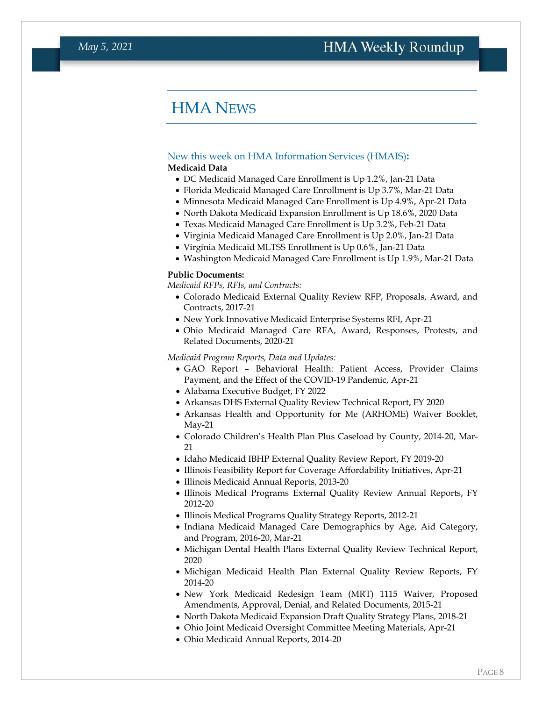## HMA NEWS

#### <span id="page-7-0"></span>New this week on HMA Information Services (HMAIS)**:**

#### **Medicaid Data**

- DC Medicaid Managed Care Enrollment is Up 1.2%, Jan-21 Data
- Florida Medicaid Managed Care Enrollment is Up 3.7%, Mar-21 Data
- Minnesota Medicaid Managed Care Enrollment is Up 4.9%, Apr-21 Data
- North Dakota Medicaid Expansion Enrollment is Up 18.6%, 2020 Data
- Texas Medicaid Managed Care Enrollment is Up 3.2%, Feb-21 Data
- Virginia Medicaid Managed Care Enrollment is Up 2.0%, Jan-21 Data
- Virginia Medicaid MLTSS Enrollment is Up 0.6%, Jan-21 Data
- Washington Medicaid Managed Care Enrollment is Up 1.9%, Mar-21 Data

#### **Public Documents:**

*Medicaid RFPs, RFIs, and Contracts:*

- Colorado Medicaid External Quality Review RFP, Proposals, Award, and Contracts, 2017-21
- New York Innovative Medicaid Enterprise Systems RFI, Apr-21
- Ohio Medicaid Managed Care RFA, Award, Responses, Protests, and Related Documents, 2020-21

*Medicaid Program Reports, Data and Updates:*

- GAO Report Behavioral Health: Patient Access, Provider Claims Payment, and the Effect of the COVID-19 Pandemic, Apr-21
- Alabama Executive Budget, FY 2022
- Arkansas DHS External Quality Review Technical Report, FY 2020
- Arkansas Health and Opportunity for Me (ARHOME) Waiver Booklet, May-21
- Colorado Children's Health Plan Plus Caseload by County, 2014-20, Mar-21
- Idaho Medicaid IBHP External Quality Review Report, FY 2019-20
- Illinois Feasibility Report for Coverage Affordability Initiatives, Apr-21
- Illinois Medicaid Annual Reports, 2013-20
- Illinois Medical Programs External Quality Review Annual Reports, FY 2012-20
- Illinois Medical Programs Quality Strategy Reports, 2012-21
- Indiana Medicaid Managed Care Demographics by Age, Aid Category, and Program, 2016-20, Mar-21
- Michigan Dental Health Plans External Quality Review Technical Report, 2020
- Michigan Medicaid Health Plan External Quality Review Reports, FY 2014-20
- New York Medicaid Redesign Team (MRT) 1115 Waiver, Proposed Amendments, Approval, Denial, and Related Documents, 2015-21
- North Dakota Medicaid Expansion Draft Quality Strategy Plans, 2018-21
- Ohio Joint Medicaid Oversight Committee Meeting Materials, Apr-21
- Ohio Medicaid Annual Reports, 2014-20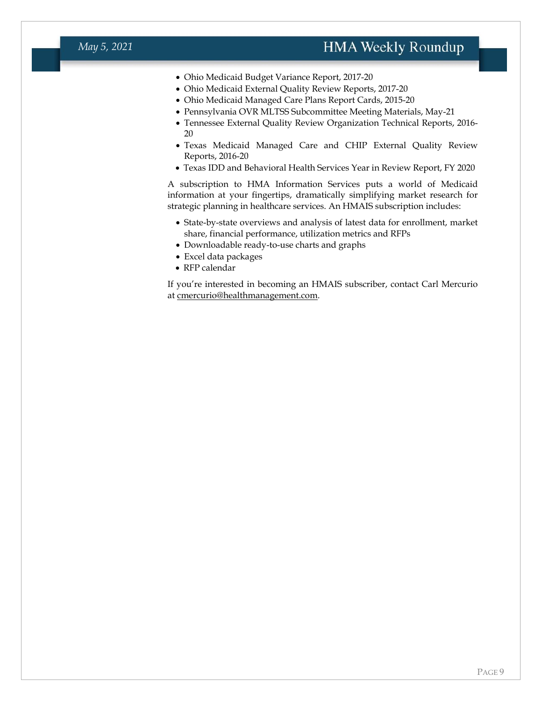- Ohio Medicaid Budget Variance Report, 2017-20
- Ohio Medicaid External Quality Review Reports, 2017-20
- Ohio Medicaid Managed Care Plans Report Cards, 2015-20
- Pennsylvania OVR MLTSS Subcommittee Meeting Materials, May-21
- Tennessee External Quality Review Organization Technical Reports, 2016- 20
- Texas Medicaid Managed Care and CHIP External Quality Review Reports, 2016-20
- Texas IDD and Behavioral Health Services Year in Review Report, FY 2020

A subscription to HMA Information Services puts a world of Medicaid information at your fingertips, dramatically simplifying market research for strategic planning in healthcare services. An HMAIS subscription includes:

- State-by-state overviews and analysis of latest data for enrollment, market share, financial performance, utilization metrics and RFPs
- Downloadable ready-to-use charts and graphs
- Excel data packages
- RFP calendar

If you're interested in becoming an HMAIS subscriber, contact Carl Mercurio at [cmercurio@healthmanagement.com.](mailto:cmercurio@healthmanagement.com)